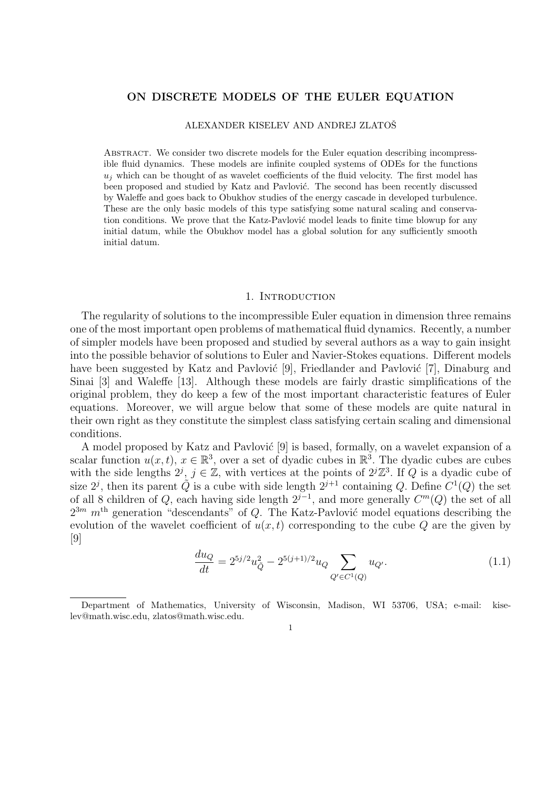# ON DISCRETE MODELS OF THE EULER EQUATION

#### ALEXANDER KISELEV AND ANDREJ ZLATOŠ

Abstract. We consider two discrete models for the Euler equation describing incompressible fluid dynamics. These models are infinite coupled systems of ODEs for the functions  $u_i$  which can be thought of as wavelet coefficients of the fluid velocity. The first model has been proposed and studied by Katz and Pavlović. The second has been recently discussed by Waleffe and goes back to Obukhov studies of the energy cascade in developed turbulence. These are the only basic models of this type satisfying some natural scaling and conservation conditions. We prove that the Katz-Pavlović model leads to finite time blowup for any initial datum, while the Obukhov model has a global solution for any sufficiently smooth initial datum.

### 1. INTRODUCTION

The regularity of solutions to the incompressible Euler equation in dimension three remains one of the most important open problems of mathematical fluid dynamics. Recently, a number of simpler models have been proposed and studied by several authors as a way to gain insight into the possible behavior of solutions to Euler and Navier-Stokes equations. Different models have been suggested by Katz and Pavlović [9], Friedlander and Pavlović [7], Dinaburg and Sinai [3] and Waleffe [13]. Although these models are fairly drastic simplifications of the original problem, they do keep a few of the most important characteristic features of Euler equations. Moreover, we will argue below that some of these models are quite natural in their own right as they constitute the simplest class satisfying certain scaling and dimensional conditions.

A model proposed by Katz and Pavlović [9] is based, formally, on a wavelet expansion of a scalar function  $u(x,t)$ ,  $x \in \mathbb{R}^3$ , over a set of dyadic cubes in  $\mathbb{R}^3$ . The dyadic cubes are cubes with the side lengths  $2^j$ ,  $j \in \mathbb{Z}$ , with vertices at the points of  $2^j\mathbb{Z}^3$ . If Q is a dyadic cube of size  $2^j$ , then its parent  $\tilde{Q}$  is a cube with side length  $2^{j+1}$  containing Q. Define  $C^1(Q)$  the set of all 8 children of Q, each having side length  $2^{j-1}$ , and more generally  $C^m(Q)$  the set of all  $2^{3m}$  m<sup>th</sup> generation "descendants" of Q. The Katz-Pavlović model equations describing the evolution of the wavelet coefficient of  $u(x, t)$  corresponding to the cube Q are the given by [9]

$$
\frac{du_Q}{dt} = 2^{5j/2}u_{\tilde{Q}}^2 - 2^{5(j+1)/2}u_Q \sum_{Q' \in C^1(Q)} u_{Q'}.\tag{1.1}
$$

1

Department of Mathematics, University of Wisconsin, Madison, WI 53706, USA; e-mail: kiselev@math.wisc.edu, zlatos@math.wisc.edu.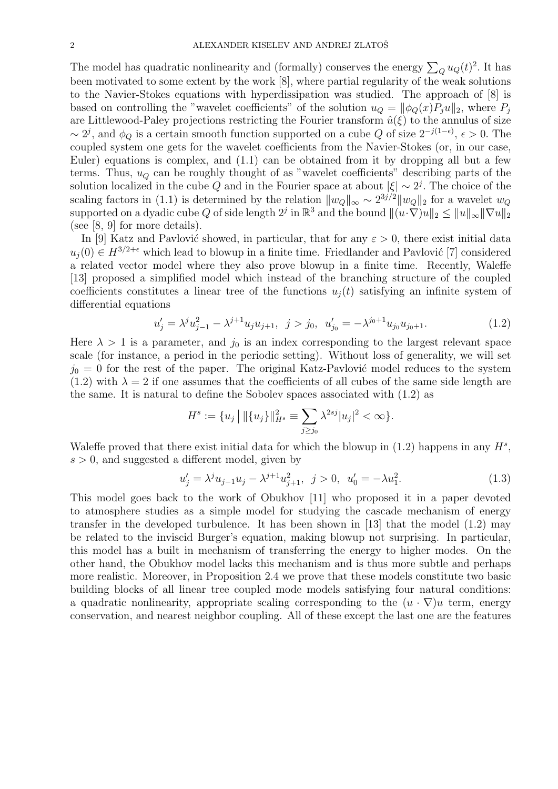The model has quadratic nonlinearity and (formally) conserves the energy  $\sum_{Q} u_Q(t)^2$ . It has been motivated to some extent by the work [8], where partial regularity of the weak solutions to the Navier-Stokes equations with hyperdissipation was studied. The approach of [8] is based on controlling the "wavelet coefficients" of the solution  $u_Q = ||\phi_Q(x)P_i u||_2$ , where  $P_i$ are Littlewood-Paley projections restricting the Fourier transform  $\hat{u}(\xi)$  to the annulus of size ~ 2<sup>j</sup>, and  $\phi_Q$  is a certain smooth function supported on a cube Q of size  $2^{-j(1-\epsilon)}$ ,  $\epsilon > 0$ . The coupled system one gets for the wavelet coefficients from the Navier-Stokes (or, in our case, Euler) equations is complex, and (1.1) can be obtained from it by dropping all but a few terms. Thus,  $u_Q$  can be roughly thought of as "wavelet coefficients" describing parts of the solution localized in the cube Q and in the Fourier space at about  $|\xi| \sim 2^{j}$ . The choice of the scaling factors in (1.1) is determined by the relation  $||w_Q||_{\infty} \sim 2^{3j/2} ||w_Q||_2$  for a wavelet  $w_Q$ supported on a dyadic cube Q of side length  $2^j$  in  $\mathbb{R}^3$  and the bound  $\|(u\cdot\breve{\nabla})u\|_2\leq \|u\|_\infty\|\nabla u\|_2$ (see [8, 9] for more details).

In [9] Katz and Pavlović showed, in particular, that for any  $\varepsilon > 0$ , there exist initial data  $u_i(0) \in H^{3/2+\epsilon}$  which lead to blowup in a finite time. Friedlander and Pavlović [7] considered a related vector model where they also prove blowup in a finite time. Recently, Waleffe [13] proposed a simplified model which instead of the branching structure of the coupled coefficients constitutes a linear tree of the functions  $u_i(t)$  satisfying an infinite system of differential equations

$$
u'_{j} = \lambda^{j} u_{j-1}^{2} - \lambda^{j+1} u_{j} u_{j+1}, \quad j > j_{0}, \quad u'_{j_{0}} = -\lambda^{j_{0}+1} u_{j_{0}} u_{j_{0}+1}.
$$
 (1.2)

Here  $\lambda > 1$  is a parameter, and  $j_0$  is an index corresponding to the largest relevant space scale (for instance, a period in the periodic setting). Without loss of generality, we will set  $j_0 = 0$  for the rest of the paper. The original Katz-Pavlović model reduces to the system  $(1.2)$  with  $\lambda = 2$  if one assumes that the coefficients of all cubes of the same side length are the same. It is natural to define the Sobolev spaces associated with (1.2) as

$$
H^s := \{ u_j \, \big| \, \| \{ u_j \} \|_{H^s}^2 \equiv \sum_{j \ge j_0} \lambda^{2sj} |u_j|^2 < \infty \}.
$$

Waleffe proved that there exist initial data for which the blowup in  $(1.2)$  happens in any  $H^s$ ,  $s > 0$ , and suggested a different model, given by

$$
u'_{j} = \lambda^{j} u_{j-1} u_{j} - \lambda^{j+1} u_{j+1}^{2}, \quad j > 0, \quad u'_{0} = -\lambda u_{1}^{2}.
$$
 (1.3)

This model goes back to the work of Obukhov [11] who proposed it in a paper devoted to atmosphere studies as a simple model for studying the cascade mechanism of energy transfer in the developed turbulence. It has been shown in [13] that the model (1.2) may be related to the inviscid Burger's equation, making blowup not surprising. In particular, this model has a built in mechanism of transferring the energy to higher modes. On the other hand, the Obukhov model lacks this mechanism and is thus more subtle and perhaps more realistic. Moreover, in Proposition 2.4 we prove that these models constitute two basic building blocks of all linear tree coupled mode models satisfying four natural conditions: a quadratic nonlinearity, appropriate scaling corresponding to the  $(u \cdot \nabla)u$  term, energy conservation, and nearest neighbor coupling. All of these except the last one are the features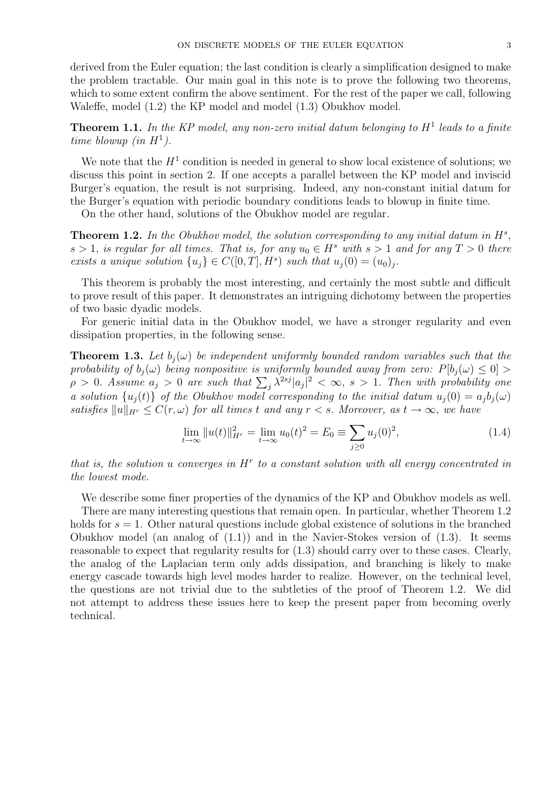derived from the Euler equation; the last condition is clearly a simplification designed to make the problem tractable. Our main goal in this note is to prove the following two theorems, which to some extent confirm the above sentiment. For the rest of the paper we call, following Waleffe, model (1.2) the KP model and model (1.3) Obukhov model.

**Theorem 1.1.** In the KP model, any non-zero initial datum belonging to  $H^1$  leads to a finite time blowup (in  $H^1$ ).

We note that the  $H<sup>1</sup>$  condition is needed in general to show local existence of solutions; we discuss this point in section 2. If one accepts a parallel between the KP model and inviscid Burger's equation, the result is not surprising. Indeed, any non-constant initial datum for the Burger's equation with periodic boundary conditions leads to blowup in finite time.

On the other hand, solutions of the Obukhov model are regular.

**Theorem 1.2.** In the Obukhov model, the solution corresponding to any initial datum in  $H^s$ , s > 1, is regular for all times. That is, for any  $u_0 \in H^s$  with  $s > 1$  and for any  $T > 0$  there exists a unique solution  $\{u_j\} \in C([0,T], H^s)$  such that  $u_j(0) = (u_0)_j$ .

This theorem is probably the most interesting, and certainly the most subtle and difficult to prove result of this paper. It demonstrates an intriguing dichotomy between the properties of two basic dyadic models.

For generic initial data in the Obukhov model, we have a stronger regularity and even dissipation properties, in the following sense.

**Theorem 1.3.** Let  $b_i(\omega)$  be independent uniformly bounded random variables such that the probability of  $b_j(\omega)$  being nonpositive is uniformly bounded away from zero:  $P[b_j(\omega) \leq 0] >$  $\rho > 0$ . Assume  $a_j > 0$  are such that  $\sum_j \lambda^{2sj} |a_j|^2 < \infty$ ,  $s > 1$ . Then with probability one a solution  $\{u_i(t)\}\,$  of the Obukhov model corresponding to the initial datum  $u_i(0) = a_i b_i(\omega)$ satisfies  $||u||_{H^r} \leq C(r,\omega)$  for all times t and any  $r < s$ . Moreover, as  $t \to \infty$ , we have

$$
\lim_{t \to \infty} ||u(t)||_{H^r}^2 = \lim_{t \to \infty} u_0(t)^2 = E_0 \equiv \sum_{j \ge 0} u_j(0)^2,
$$
\n(1.4)

that is, the solution  $u$  converges in  $H^r$  to a constant solution with all energy concentrated in the lowest mode.

We describe some finer properties of the dynamics of the KP and Obukhov models as well.

There are many interesting questions that remain open. In particular, whether Theorem 1.2 holds for  $s = 1$ . Other natural questions include global existence of solutions in the branched Obukhov model (an analog of  $(1.1)$ ) and in the Navier-Stokes version of  $(1.3)$ . It seems reasonable to expect that regularity results for (1.3) should carry over to these cases. Clearly, the analog of the Laplacian term only adds dissipation, and branching is likely to make energy cascade towards high level modes harder to realize. However, on the technical level, the questions are not trivial due to the subtleties of the proof of Theorem 1.2. We did not attempt to address these issues here to keep the present paper from becoming overly technical.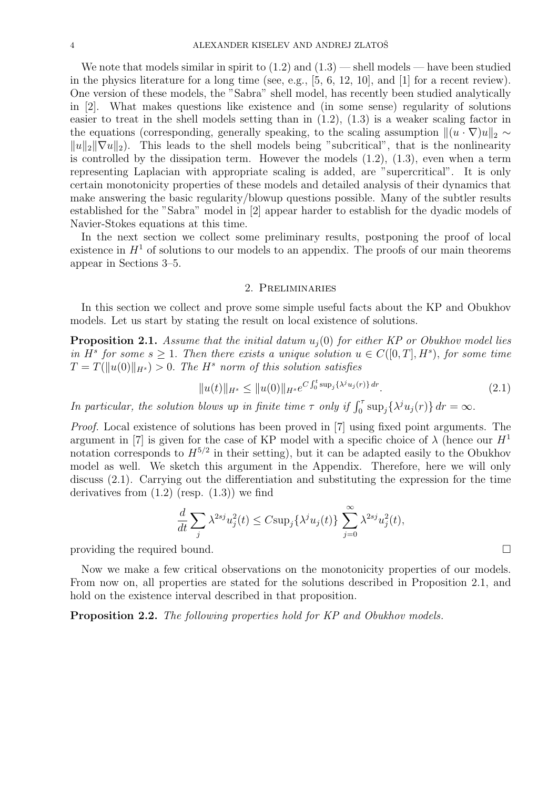We note that models similar in spirit to  $(1.2)$  and  $(1.3)$  — shell models — have been studied in the physics literature for a long time (see, e.g., [5, 6, 12, 10], and [1] for a recent review). One version of these models, the "Sabra" shell model, has recently been studied analytically in [2]. What makes questions like existence and (in some sense) regularity of solutions easier to treat in the shell models setting than in (1.2), (1.3) is a weaker scaling factor in the equations (corresponding, generally speaking, to the scaling assumption  $\|(u \cdot \nabla)u\|_2 \sim$  $||u||_2||\nabla u||_2$ . This leads to the shell models being "subcritical", that is the nonlinearity is controlled by the dissipation term. However the models  $(1.2)$ ,  $(1.3)$ , even when a term representing Laplacian with appropriate scaling is added, are "supercritical". It is only certain monotonicity properties of these models and detailed analysis of their dynamics that make answering the basic regularity/blowup questions possible. Many of the subtler results established for the "Sabra" model in [2] appear harder to establish for the dyadic models of Navier-Stokes equations at this time.

In the next section we collect some preliminary results, postponing the proof of local existence in  $H<sup>1</sup>$  of solutions to our models to an appendix. The proofs of our main theorems appear in Sections 3–5.

#### 2. Preliminaries

In this section we collect and prove some simple useful facts about the KP and Obukhov models. Let us start by stating the result on local existence of solutions.

**Proposition 2.1.** Assume that the initial datum  $u_i(0)$  for either KP or Obukhov model lies in  $H^s$  for some  $s \geq 1$ . Then there exists a unique solution  $u \in C([0,T], H^s)$ , for some time  $T = T(||u(0)||_{H<sup>s</sup>}) > 0$ . The H<sup>s</sup> norm of this solution satisfies

$$
||u(t)||_{H^{s}} \leq ||u(0)||_{H^{s}} e^{C \int_{0}^{t} \sup_{j} {\{\lambda^{j} u_{j}(r)\} d r}}.
$$
\n(2.1)

In particular, the solution blows up in finite time  $\tau$  only if  $\int_0^{\tau} \sup_j {\{\lambda^j u_j(r)\}} dr = \infty$ .

Proof. Local existence of solutions has been proved in [7] using fixed point arguments. The argument in [7] is given for the case of KP model with a specific choice of  $\lambda$  (hence our  $H^1$ notation corresponds to  $H^{5/2}$  in their setting), but it can be adapted easily to the Obukhov model as well. We sketch this argument in the Appendix. Therefore, here we will only discuss (2.1). Carrying out the differentiation and substituting the expression for the time derivatives from  $(1.2)$  (resp.  $(1.3)$ ) we find

$$
\frac{d}{dt} \sum_{j} \lambda^{2sj} u_j^2(t) \leq C \sup_j \{ \lambda^j u_j(t) \} \sum_{j=0}^{\infty} \lambda^{2sj} u_j^2(t),
$$

providing the required bound.

Now we make a few critical observations on the monotonicity properties of our models. From now on, all properties are stated for the solutions described in Proposition 2.1, and hold on the existence interval described in that proposition.

Proposition 2.2. The following properties hold for KP and Obukhov models.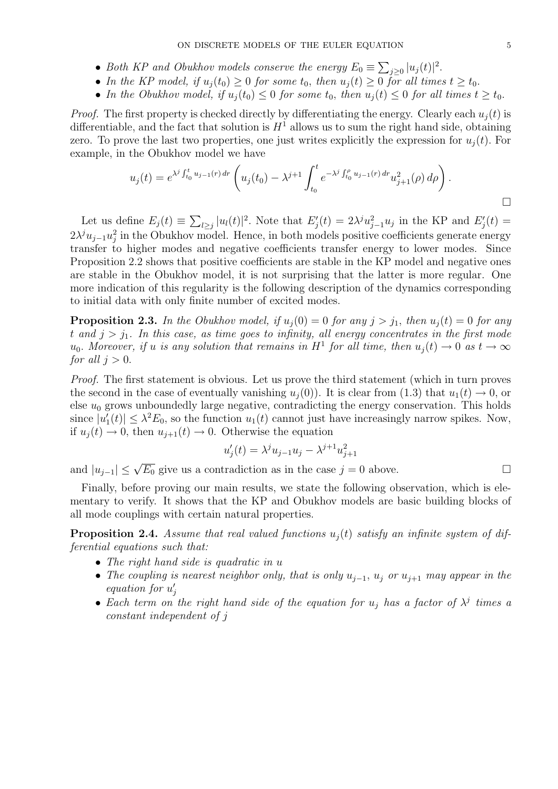- Both KP and Obukhov models conserve the energy  $E_0 \equiv \sum_{j\geq 0} |u_j(t)|^2$ .
- In the KP model, if  $u_i(t_0) \geq 0$  for some  $t_0$ , then  $u_i(t) \geq 0$  for all times  $t \geq t_0$ .
- In the Obukhov model, if  $u_i(t_0) \leq 0$  for some  $t_0$ , then  $u_i(t) \leq 0$  for all times  $t \geq t_0$ .

*Proof.* The first property is checked directly by differentiating the energy. Clearly each  $u_i(t)$  is differentiable, and the fact that solution is  $H<sup>1</sup>$  allows us to sum the right hand side, obtaining zero. To prove the last two properties, one just writes explicitly the expression for  $u_i(t)$ . For example, in the Obukhov model we have

$$
u_j(t) = e^{\lambda^j \int_{t_0}^t u_{j-1}(r) dr} \left( u_j(t_0) - \lambda^{j+1} \int_{t_0}^t e^{-\lambda^j \int_{t_0}^\rho u_{j-1}(r) dr} u_{j+1}^2(\rho) d\rho \right).
$$

Let us define  $E_j(t) \equiv \sum_{l \geq j} |u_l(t)|^2$ . Note that  $E'_j(t) = 2\lambda^j u_{j-1}^2 u_j$  in the KP and  $E'_j(t) =$  $2\lambda^j u_{j-1}u_j^2$  in the Obukhov model. Hence, in both models positive coefficients generate energy transfer to higher modes and negative coefficients transfer energy to lower modes. Since Proposition 2.2 shows that positive coefficients are stable in the KP model and negative ones are stable in the Obukhov model, it is not surprising that the latter is more regular. One more indication of this regularity is the following description of the dynamics corresponding to initial data with only finite number of excited modes.

**Proposition 2.3.** In the Obukhov model, if  $u_j(0) = 0$  for any  $j > j_1$ , then  $u_j(t) = 0$  for any t and  $j > j_1$ . In this case, as time goes to infinity, all energy concentrates in the first mode  $u_0$ . Moreover, if u is any solution that remains in  $H^1$  for all time, then  $u_j(t) \to 0$  as  $t \to \infty$ for all  $j > 0$ .

Proof. The first statement is obvious. Let us prove the third statement (which in turn proves the second in the case of eventually vanishing  $u_i(0)$ ). It is clear from (1.3) that  $u_1(t) \to 0$ , or else  $u_0$  grows unboundedly large negative, contradicting the energy conservation. This holds since  $|u_1'(t)| \leq \lambda^2 E_0$ , so the function  $u_1(t)$  cannot just have increasingly narrow spikes. Now, if  $u_i(t) \to 0$ , then  $u_{i+1}(t) \to 0$ . Otherwise the equation

$$
u_j'(t) = \lambda^j u_{j-1} u_j - \lambda^{j+1} u_{j+1}^2
$$

and  $|u_{j-1}| \leq \sqrt{E_0}$  give us a contradiction as in the case  $j = 0$  above.

Finally, before proving our main results, we state the following observation, which is elementary to verify. It shows that the KP and Obukhov models are basic building blocks of all mode couplings with certain natural properties.

**Proposition 2.4.** Assume that real valued functions  $u_i(t)$  satisfy an infinite system of differential equations such that:

- The right hand side is quadratic in u
- The coupling is nearest neighbor only, that is only  $u_{j-1}$ ,  $u_j$  or  $u_{j+1}$  may appear in the equation for  $u'_j$
- Each term on the right hand side of the equation for  $u_j$  has a factor of  $\lambda^j$  times a constant independent of j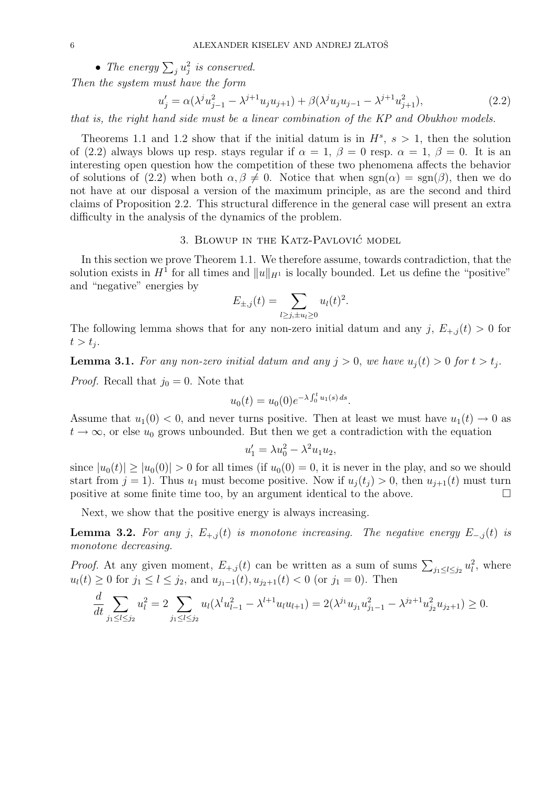• The energy  $\sum_j u_j^2$  is conserved.

Then the system must have the form

$$
u'_{j} = \alpha(\lambda^{j} u_{j-1}^{2} - \lambda^{j+1} u_{j} u_{j+1}) + \beta(\lambda^{j} u_{j} u_{j-1} - \lambda^{j+1} u_{j+1}^{2}),
$$
\n(2.2)

.

that is, the right hand side must be a linear combination of the KP and Obukhov models.

Theorems 1.1 and 1.2 show that if the initial datum is in  $H^s$ ,  $s > 1$ , then the solution of (2.2) always blows up resp. stays regular if  $\alpha = 1, \beta = 0$  resp.  $\alpha = 1, \beta = 0$ . It is an interesting open question how the competition of these two phenomena affects the behavior of solutions of (2.2) when both  $\alpha, \beta \neq 0$ . Notice that when  $sgn(\alpha) = sgn(\beta)$ , then we do not have at our disposal a version of the maximum principle, as are the second and third claims of Proposition 2.2. This structural difference in the general case will present an extra difficulty in the analysis of the dynamics of the problem.

# 3. BLOWUP IN THE KATZ-PAVLOVIC MODEL

In this section we prove Theorem 1.1. We therefore assume, towards contradiction, that the solution exists in  $H^1$  for all times and  $||u||_{H^1}$  is locally bounded. Let us define the "positive" and "negative" energies by

$$
E_{\pm,j}(t) = \sum_{l \ge j, \pm u_l \ge 0} u_l(t)^2
$$

The following lemma shows that for any non-zero initial datum and any j,  $E_{+,j}(t) > 0$  for  $t > t_j$ .

**Lemma 3.1.** For any non-zero initial datum and any  $j > 0$ , we have  $u_j(t) > 0$  for  $t > t_j$ .

*Proof.* Recall that  $j_0 = 0$ . Note that

$$
u_0(t) = u_0(0)e^{-\lambda \int_0^t u_1(s) ds}.
$$

Assume that  $u_1(0) < 0$ , and never turns positive. Then at least we must have  $u_1(t) \to 0$  as  $t \to \infty$ , or else  $u_0$  grows unbounded. But then we get a contradiction with the equation

$$
u_1' = \lambda u_0^2 - \lambda^2 u_1 u_2,
$$

since  $|u_0(t)| \ge |u_0(0)| > 0$  for all times (if  $u_0(0) = 0$ , it is never in the play, and so we should start from  $j = 1$ ). Thus  $u_1$  must become positive. Now if  $u_i(t_j) > 0$ , then  $u_{i+1}(t)$  must turn positive at some finite time too, by an argument identical to the above.  $\Box$ 

Next, we show that the positive energy is always increasing.

**Lemma 3.2.** For any j,  $E_{+,j}(t)$  is monotone increasing. The negative energy  $E_{-,j}(t)$  is monotone decreasing.

*Proof.* At any given moment,  $E_{+,j}(t)$  can be written as a sum of sums  $\sum_{j_1 \leq l \leq j_2} u_l^2$ , where  $u_l(t) \geq 0$  for  $j_1 \leq l \leq j_2$ , and  $u_{j_1-1}(t)$ ,  $u_{j_2+1}(t) < 0$  (or  $j_1 = 0$ ). Then

$$
\frac{d}{dt} \sum_{j_1 \le l \le j_2} u_l^2 = 2 \sum_{j_1 \le l \le j_2} u_l(\lambda^l u_{l-1}^2 - \lambda^{l+1} u_l u_{l+1}) = 2(\lambda^{j_1} u_{j_1} u_{j_1-1}^2 - \lambda^{j_2+1} u_{j_2}^2 u_{j_2+1}) \ge 0.
$$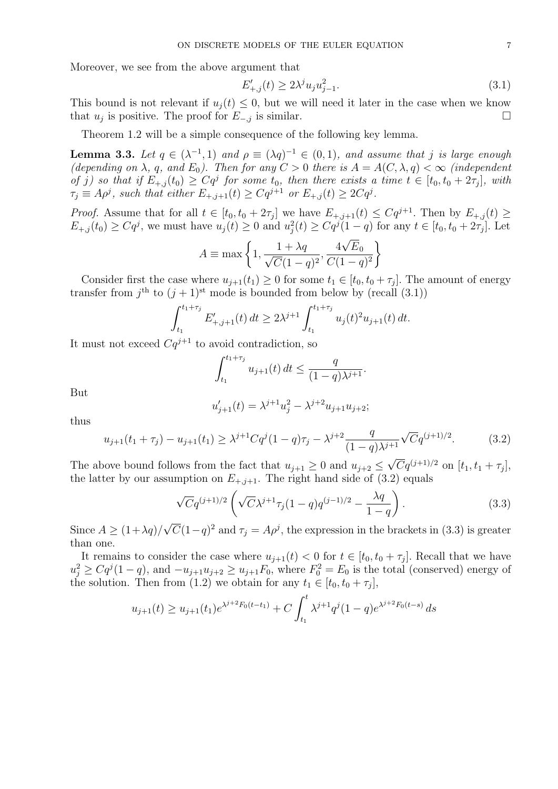Moreover, we see from the above argument that

$$
E'_{+,j}(t) \ge 2\lambda^j u_j u_{j-1}^2. \tag{3.1}
$$

This bound is not relevant if  $u_i(t) \leq 0$ , but we will need it later in the case when we know that  $u_j$  is positive. The proof for  $E_{-,j}$  is similar.

Theorem 1.2 will be a simple consequence of the following key lemma.

**Lemma 3.3.** Let  $q \in (\lambda^{-1}, 1)$  and  $\rho \equiv (\lambda q)^{-1} \in (0, 1)$ , and assume that j is large enough (depending on  $\lambda$ , q, and  $E_0$ ). Then for any  $C > 0$  there is  $A = A(C, \lambda, q) < \infty$  (independent of j) so that if  $E_{+,j}(t_0) \geq Cq^j$  for some  $t_0$ , then there exists a time  $t \in [t_0, t_0 + 2\tau_j]$ , with  $\tau_j \equiv A\rho^j$ , such that either  $E_{+,j+1}(t) \geq Cq^{j+1}$  or  $E_{+,j}(t) \geq 2Cq^j$ .

*Proof.* Assume that for all  $t \in [t_0, t_0 + 2\tau_j]$  we have  $E_{+,j+1}(t) \leq Cq^{j+1}$ . Then by  $E_{+,j}(t) \geq$  $E_{+,j}(t_0) \geq Cq^j$ , we must have  $u_j(t) \geq 0$  and  $u_j^2(t) \geq Cq^j(1-q)$  for any  $t \in [t_0, t_0 + 2\tau_j]$ . Let

$$
A \equiv \max\left\{1, \frac{1+\lambda q}{\sqrt{C}(1-q)^2}, \frac{4\sqrt{E_0}}{C(1-q)^2}\right\}
$$

Consider first the case where  $u_{j+1}(t_1) \geq 0$  for some  $t_1 \in [t_0, t_0 + \tau_j]$ . The amount of energy transfer from  $j^{\text{th}}$  to  $(j + 1)^{\text{st}}$  mode is bounded from below by (recall (3.1))

$$
\int_{t_1}^{t_1+\tau_j} E'_{+,j+1}(t) dt \ge 2\lambda^{j+1} \int_{t_1}^{t_1+\tau_j} u_j(t)^2 u_{j+1}(t) dt.
$$

It must not exceed  $Cq^{j+1}$  to avoid contradiction, so

$$
\int_{t_1}^{t_1+\tau_j} u_{j+1}(t) dt \le \frac{q}{(1-q)\lambda^{j+1}}.
$$

But

$$
u'_{j+1}(t) = \lambda^{j+1} u_j^2 - \lambda^{j+2} u_{j+1} u_{j+2};
$$

thus

$$
u_{j+1}(t_1 + \tau_j) - u_{j+1}(t_1) \ge \lambda^{j+1} C q^j (1-q) \tau_j - \lambda^{j+2} \frac{q}{(1-q)\lambda^{j+1}} \sqrt{C} q^{(j+1)/2}.
$$
 (3.2)

The above bound follows from the fact that  $u_{j+1} \geq 0$  and  $u_{j+2} \leq$  $\overline{C}q^{(j+1)/2}$  on  $[t_1, t_1 + \tau_j],$ the latter by our assumption on  $E_{+,j+1}$ . The right hand side of (3.2) equals

$$
\sqrt{C}q^{(j+1)/2}\left(\sqrt{C}\lambda^{j+1}\tau_j(1-q)q^{(j-1)/2}-\frac{\lambda q}{1-q}\right).
$$
\n(3.3)

Since  $A \geq (1+\lambda q)/$ √  $\overline{C}(1-q)^2$  and  $\tau_j = A\rho^j$ , the expression in the brackets in (3.3) is greater than one.

It remains to consider the case where  $u_{j+1}(t) < 0$  for  $t \in [t_0, t_0 + \tau_j]$ . Recall that we have  $u_j^2 \geq Cq^j(1-q)$ , and  $-u_{j+1}u_{j+2} \geq u_{j+1}F_0$ , where  $F_0^2 = E_0$  is the total (conserved) energy of the solution. Then from (1.2) we obtain for any  $t_1 \in [t_0, t_0 + \tau_j],$ 

$$
u_{j+1}(t) \ge u_{j+1}(t_1) e^{\lambda^{j+2} F_0(t-t_1)} + C \int_{t_1}^t \lambda^{j+1} q^j (1-q) e^{\lambda^{j+2} F_0(t-s)} ds
$$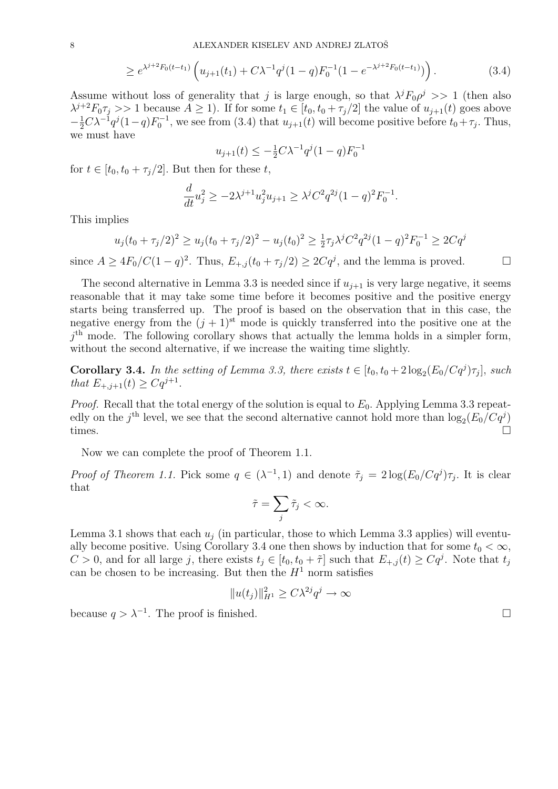$$
\geq e^{\lambda^{j+2}F_0(t-t_1)}\left(u_{j+1}(t_1)+C\lambda^{-1}q^{j}(1-q)F_0^{-1}(1-e^{-\lambda^{j+2}F_0(t-t_1)})\right).
$$
\n(3.4)

Assume without loss of generality that j is large enough, so that  $\lambda^j F_0 \rho^j >> 1$  (then also  $\lambda^{j+2}F_0\tau_j >> 1$  because  $A \geq 1$ ). If for some  $t_1 \in [t_0, t_0 + \tau_j/2]$  the value of  $u_{j+1}(t)$  goes above  $-\frac{1}{2}C\lambda^{-1}q^{j}(1-q)F_0^{-1}$ , we see from (3.4) that  $u_{j+1}(t)$  will become positive before  $t_0+\tau_j$ . Thus, we must have

$$
u_{j+1}(t) \le -\frac{1}{2}C\lambda^{-1}q^{j}(1-q)F_0^{-1}
$$

for  $t \in [t_0, t_0 + \tau_i/2]$ . But then for these t,

$$
\frac{d}{dt}u_j^2 \ge -2\lambda^{j+1}u_j^2u_{j+1} \ge \lambda^jC^2q^{2j}(1-q)^2F_0^{-1}.
$$

This implies

$$
u_j(t_0 + \tau_j/2)^2 \ge u_j(t_0 + \tau_j/2)^2 - u_j(t_0)^2 \ge \frac{1}{2}\tau_j\lambda^j C^2 q^{2j} (1-q)^2 F_0^{-1} \ge 2Cq^j
$$

since  $A \ge 4F_0/C(1-q)^2$ . Thus,  $E_{+,j}(t_0+\tau_j/2) \ge 2Cq^j$ , and the lemma is proved.

The second alternative in Lemma 3.3 is needed since if  $u_{i+1}$  is very large negative, it seems reasonable that it may take some time before it becomes positive and the positive energy starts being transferred up. The proof is based on the observation that in this case, the negative energy from the  $(j + 1)$ <sup>st</sup> mode is quickly transferred into the positive one at the  $j<sup>th</sup>$  mode. The following corollary shows that actually the lemma holds in a simpler form, without the second alternative, if we increase the waiting time slightly.

**Corollary 3.4.** In the setting of Lemma 3.3, there exists  $t \in [t_0, t_0 + 2 \log_2(E_0/Cq^j)\tau_j]$ , such that  $E_{+,j+1}(t) \geq Cq^{j+1}$ .

*Proof.* Recall that the total energy of the solution is equal to  $E_0$ . Applying Lemma 3.3 repeatedly on the  $j^{\text{th}}$  level, we see that the second alternative cannot hold more than  $\log_2(E_0/Cq^j)$ times.  $\square$ 

Now we can complete the proof of Theorem 1.1.

*Proof of Theorem 1.1.* Pick some  $q \in (\lambda^{-1}, 1)$  and denote  $\tilde{\tau}_j = 2 \log(E_0/Cq^j)\tau_j$ . It is clear that

$$
\tilde{\tau} = \sum_j \tilde{\tau}_j < \infty.
$$

Lemma 3.1 shows that each  $u_i$  (in particular, those to which Lemma 3.3 applies) will eventually become positive. Using Corollary 3.4 one then shows by induction that for some  $t_0 < \infty$ ,  $C > 0$ , and for all large j, there exists  $t_j \in [t_0, t_0 + \tilde{\tau}]$  such that  $E_{+,j}(t) \geq Cq^j$ . Note that  $t_j$ can be chosen to be increasing. But then the  $H<sup>1</sup>$  norm satisfies

$$
||u(t_j)||_{H^1}^2 \ge C\lambda^{2j}q^j \to \infty
$$

because  $q > \lambda^{-1}$ . The proof is finished.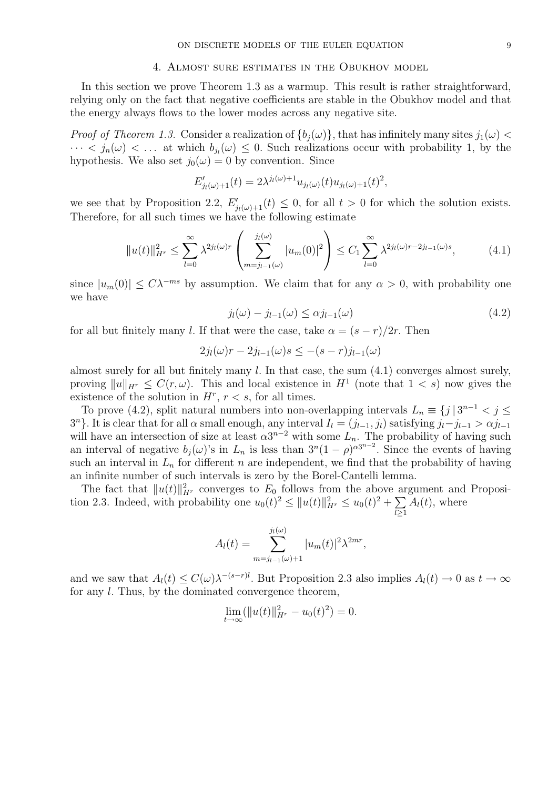#### 4. Almost sure estimates in the Obukhov model

In this section we prove Theorem 1.3 as a warmup. This result is rather straightforward, relying only on the fact that negative coefficients are stable in the Obukhov model and that the energy always flows to the lower modes across any negative site.

*Proof of Theorem 1.3.* Consider a realization of  $\{b_i(\omega)\}\$ , that has infinitely many sites  $j_1(\omega)$  <  $\cdots < j_n(\omega) < \ldots$  at which  $b_{j_l}(\omega) \leq 0$ . Such realizations occur with probability 1, by the hypothesis. We also set  $j_0(\omega) = 0$  by convention. Since

$$
E'_{j_l(\omega)+1}(t) = 2\lambda^{j_l(\omega)+1} u_{j_l(\omega)}(t) u_{j_l(\omega)+1}(t)^2,
$$

we see that by Proposition 2.2,  $E'_{j_l(\omega)+1}(t) \leq 0$ , for all  $t > 0$  for which the solution exists. Therefore, for all such times we have the following estimate

$$
||u(t)||_{H^r}^2 \le \sum_{l=0}^{\infty} \lambda^{2j_l(\omega)r} \left( \sum_{m=j_{l-1}(\omega)}^{j_l(\omega)} |u_m(0)|^2 \right) \le C_1 \sum_{l=0}^{\infty} \lambda^{2j_l(\omega)r - 2j_{l-1}(\omega)s}, \tag{4.1}
$$

since  $|u_m(0)| \leq C\lambda^{-ms}$  by assumption. We claim that for any  $\alpha > 0$ , with probability one we have

$$
j_l(\omega) - j_{l-1}(\omega) \le \alpha j_{l-1}(\omega) \tag{4.2}
$$

for all but finitely many l. If that were the case, take  $\alpha = (s - r)/2r$ . Then

$$
2j_l(\omega)r - 2j_{l-1}(\omega)s \leq -(s-r)j_{l-1}(\omega)
$$

almost surely for all but finitely many  $l$ . In that case, the sum  $(4.1)$  converges almost surely, proving  $||u||_{H^r} \leq C(r,\omega)$ . This and local existence in  $H^1$  (note that  $1 < s$ ) now gives the existence of the solution in  $H^r$ ,  $r < s$ , for all times.

To prove (4.2), split natural numbers into non-overlapping intervals  $L_n \equiv \{j \mid 3^{n-1} < j \leq n \}$  $3<sup>n</sup>$ . It is clear that for all  $\alpha$  small enough, any interval  $I_l = (j_{l-1}, j_l)$  satisfying  $j_l - j_{l-1} > \alpha j_{l-1}$ will have an intersection of size at least  $\alpha 3^{n-2}$  with some  $L_n$ . The probability of having such an interval of negative  $b_j(\omega)$ 's in  $L_n$  is less than  $3^n(1-\rho)^{\alpha 3^{n-2}}$ . Since the events of having such an interval in  $L_n$  for different n are independent, we find that the probability of having an infinite number of such intervals is zero by the Borel-Cantelli lemma.

The fact that  $||u(t)||_{H^r}^2$  converges to  $E_0$  follows from the above argument and Proposition 2.3. Indeed, with probability one  $u_0(t)^2 \leq ||u(t)||_{H^r}^2 \leq u_0(t)^2 + \sum$  $l \geq 1$  $A_l(t)$ , where

$$
A_l(t) = \sum_{m=j_{l-1}(\omega)+1}^{j_l(\omega)} |u_m(t)|^2 \lambda^{2mr},
$$

and we saw that  $A_l(t) \leq C(\omega)\lambda^{-(s-r)l}$ . But Proposition 2.3 also implies  $A_l(t) \to 0$  as  $t \to \infty$ for any l. Thus, by the dominated convergence theorem,

$$
\lim_{t \to \infty} (\|u(t)\|_{H^r}^2 - u_0(t)^2) = 0.
$$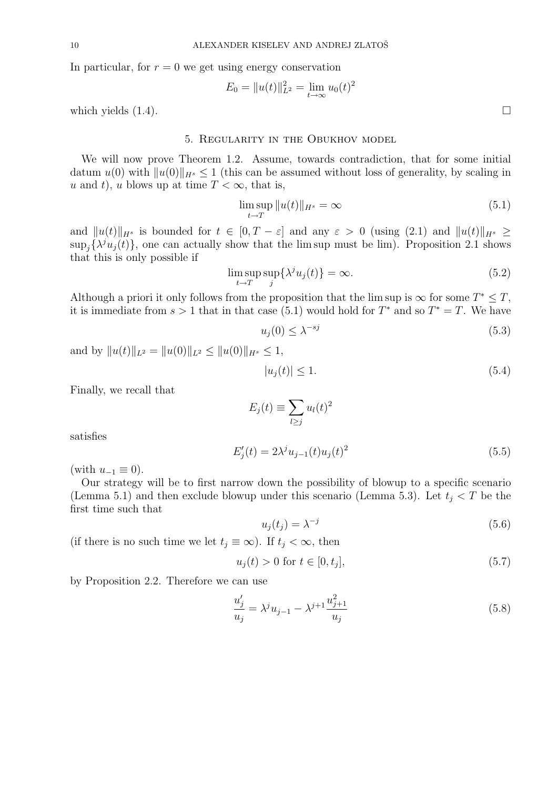In particular, for  $r = 0$  we get using energy conservation

$$
E_0 = ||u(t)||_{L^2}^2 = \lim_{t \to \infty} u_0(t)^2
$$

which yields  $(1.4)$ .

# 5. Regularity in the Obukhov model

We will now prove Theorem 1.2. Assume, towards contradiction, that for some initial datum  $u(0)$  with  $||u(0)||_{H^s} \leq 1$  (this can be assumed without loss of generality, by scaling in u and t), u blows up at time  $T < \infty$ , that is,

$$
\limsup_{t \to T} \|u(t)\|_{H^s} = \infty \tag{5.1}
$$

and  $||u(t)||_{H^s}$  is bounded for  $t \in [0, T - \varepsilon]$  and any  $\varepsilon > 0$  (using (2.1) and  $||u(t)||_{H^s} \ge$  $\sup_j {\{\lambda^j u_j(t)\}}$ , one can actually show that the lim sup must be lim). Proposition 2.1 shows that this is only possible if

$$
\limsup_{t \to T} \sup_j \{ \lambda^j u_j(t) \} = \infty.
$$
\n(5.2)

Although a priori it only follows from the proposition that the lim sup is  $\infty$  for some  $T^* \leq T$ , it is immediate from  $s > 1$  that in that case (5.1) would hold for  $T^*$  and so  $T^* = T$ . We have

$$
u_j(0) \le \lambda^{-sj} \tag{5.3}
$$

and by  $||u(t)||_{L^2} = ||u(0)||_{L^2} \le ||u(0)||_{H^s} \le 1$ ,

$$
|u_j(t)| \le 1. \tag{5.4}
$$

Finally, we recall that

$$
E_j(t) \equiv \sum_{l \ge j} u_l(t)^2
$$

satisfies

$$
E'_{j}(t) = 2\lambda^{j} u_{j-1}(t) u_{j}(t)^{2}
$$
\n(5.5)

(with  $u_{-1} \equiv 0$ ).

Our strategy will be to first narrow down the possibility of blowup to a specific scenario (Lemma 5.1) and then exclude blowup under this scenario (Lemma 5.3). Let  $t_i < T$  be the first time such that

$$
u_j(t_j) = \lambda^{-j} \tag{5.6}
$$

(if there is no such time we let  $t_j \equiv \infty$ ). If  $t_j < \infty$ , then

$$
u_j(t) > 0 \text{ for } t \in [0, t_j],\tag{5.7}
$$

by Proposition 2.2. Therefore we can use

$$
\frac{u_j'}{u_j} = \lambda^j u_{j-1} - \lambda^{j+1} \frac{u_{j+1}^2}{u_j} \tag{5.8}
$$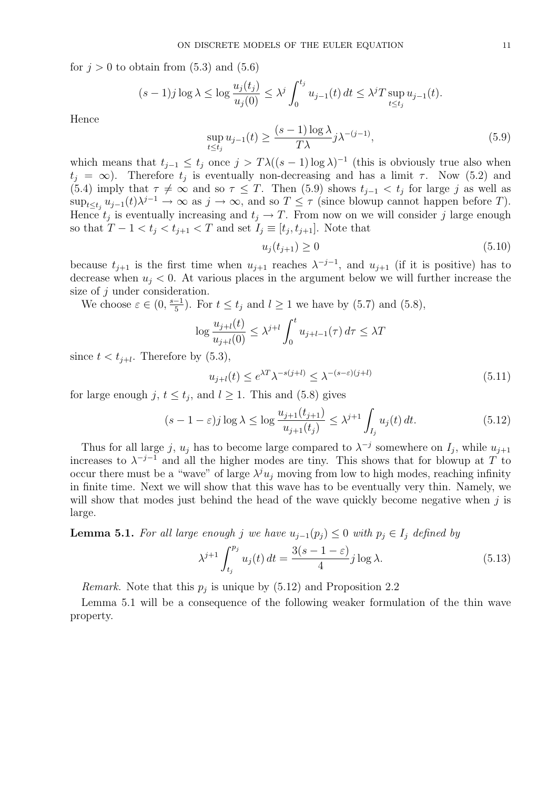for  $j > 0$  to obtain from  $(5.3)$  and  $(5.6)$ 

$$
(s-1)j\log\lambda \leq \log\frac{u_j(t_j)}{u_j(0)} \leq \lambda^j \int_0^{t_j} u_{j-1}(t) dt \leq \lambda^j T \sup_{t \leq t_j} u_{j-1}(t).
$$

Hence

$$
\sup_{t \le t_j} u_{j-1}(t) \ge \frac{(s-1)\log \lambda}{T\lambda} j\lambda^{-(j-1)},\tag{5.9}
$$

which means that  $t_{j-1} \leq t_j$  once  $j > T\lambda((s-1)\log\lambda)^{-1}$  (this is obviously true also when  $t_j = \infty$ ). Therefore  $t_j$  is eventually non-decreasing and has a limit  $\tau$ . Now (5.2) and (5.4) imply that  $\tau \neq \infty$  and so  $\tau \leq T$ . Then (5.9) shows  $t_{j-1} < t_j$  for large j as well as  $\sup_{t\leq t_j} u_{j-1}(t)\lambda^{j-1} \to \infty$  as  $j\to\infty$ , and so  $T\leq \tau$  (since blowup cannot happen before T). Hence  $t_j$  is eventually increasing and  $t_j \to T$ . From now on we will consider j large enough so that  $T - 1 < t_j < t_{j+1} < T$  and set  $I_j \equiv [t_j, t_{j+1}]$ . Note that

$$
u_j(t_{j+1}) \ge 0 \tag{5.10}
$$

because  $t_{j+1}$  is the first time when  $u_{j+1}$  reaches  $\lambda^{-j-1}$ , and  $u_{j+1}$  (if it is positive) has to decrease when  $u_j < 0$ . At various places in the argument below we will further increase the size of j under consideration.

We choose  $\varepsilon \in (0, \frac{s-1}{5})$  $\frac{-1}{5}$ ). For  $t \le t_j$  and  $l \ge 1$  we have by (5.7) and (5.8),

$$
\log \frac{u_{j+l}(t)}{u_{j+l}(0)} \le \lambda^{j+l} \int_0^t u_{j+l-1}(\tau) d\tau \le \lambda T
$$

since  $t < t_{j+l}$ . Therefore by  $(5.3)$ ,

$$
u_{j+l}(t) \le e^{\lambda T} \lambda^{-s(j+l)} \le \lambda^{-(s-\varepsilon)(j+l)} \tag{5.11}
$$

for large enough  $j, t \leq t_j$ , and  $l \geq 1$ . This and (5.8) gives

$$
(s-1-\varepsilon)j\log\lambda \le \log\frac{u_{j+1}(t_{j+1})}{u_{j+1}(t_j)} \le \lambda^{j+1}\int_{I_j}u_j(t)\,dt. \tag{5.12}
$$

Thus for all large j,  $u_j$  has to become large compared to  $\lambda^{-j}$  somewhere on  $I_j$ , while  $u_{j+1}$ increases to  $\lambda^{-j-1}$  and all the higher modes are tiny. This shows that for blowup at T to occur there must be a "wave" of large  $\lambda^j u_j$  moving from low to high modes, reaching infinity in finite time. Next we will show that this wave has to be eventually very thin. Namely, we will show that modes just behind the head of the wave quickly become negative when  $j$  is large.

**Lemma 5.1.** For all large enough j we have  $u_{j-1}(p_j) \leq 0$  with  $p_j \in I_j$  defined by

$$
\lambda^{j+1} \int_{t_j}^{p_j} u_j(t) dt = \frac{3(s-1-\varepsilon)}{4} j \log \lambda.
$$
 (5.13)

*Remark*. Note that this  $p_j$  is unique by  $(5.12)$  and Proposition 2.2

Lemma 5.1 will be a consequence of the following weaker formulation of the thin wave property.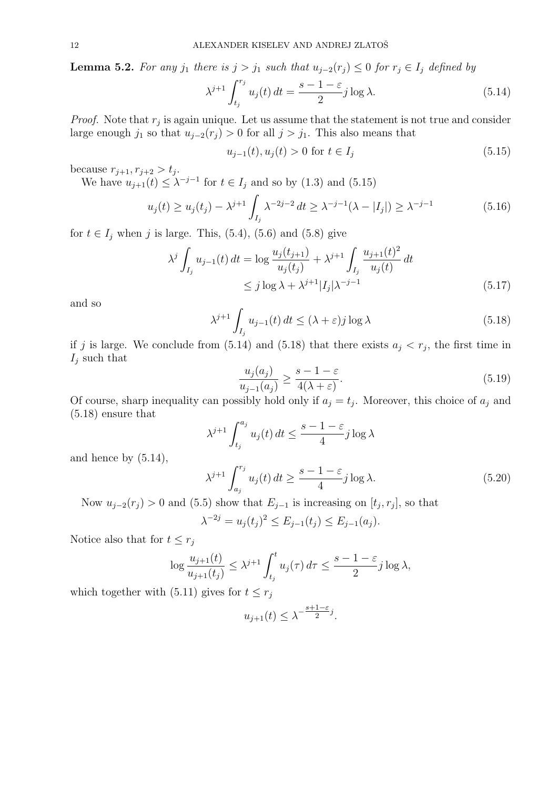**Lemma 5.2.** For any j<sub>1</sub> there is  $j > j_1$  such that  $u_{j-2}(r_j) \leq 0$  for  $r_j \in I_j$  defined by

$$
\lambda^{j+1} \int_{t_j}^{r_j} u_j(t) dt = \frac{s-1-\varepsilon}{2} j \log \lambda.
$$
 (5.14)

*Proof.* Note that  $r_j$  is again unique. Let us assume that the statement is not true and consider large enough  $j_1$  so that  $u_{j-2}(r_j) > 0$  for all  $j > j_1$ . This also means that

$$
u_{j-1}(t), u_j(t) > 0 \text{ for } t \in I_j \tag{5.15}
$$

because  $r_{j+1}, r_{j+2} > t_j$ .

We have  $u_{j+1}(t) \leq \lambda^{-j-1}$  for  $t \in I_j$  and so by (1.3) and (5.15)

$$
u_j(t) \ge u_j(t_j) - \lambda^{j+1} \int_{I_j} \lambda^{-2j-2} dt \ge \lambda^{-j-1} (\lambda - |I_j|) \ge \lambda^{-j-1}
$$
 (5.16)

for  $t \in I_j$  when j is large. This, (5.4), (5.6) and (5.8) give

$$
\lambda^{j} \int_{I_{j}} u_{j-1}(t) dt = \log \frac{u_{j}(t_{j+1})}{u_{j}(t_{j})} + \lambda^{j+1} \int_{I_{j}} \frac{u_{j+1}(t)^{2}}{u_{j}(t)} dt
$$
  
\n
$$
\leq j \log \lambda + \lambda^{j+1} |I_{j}| \lambda^{-j-1}
$$
\n(5.17)

and so

$$
\lambda^{j+1} \int_{I_j} u_{j-1}(t) dt \le (\lambda + \varepsilon) j \log \lambda \tag{5.18}
$$

if j is large. We conclude from  $(5.14)$  and  $(5.18)$  that there exists  $a_j < r_j$ , the first time in  $I_j$  such that

$$
\frac{u_j(a_j)}{u_{j-1}(a_j)} \ge \frac{s-1-\varepsilon}{4(\lambda+\varepsilon)}.\tag{5.19}
$$

Of course, sharp inequality can possibly hold only if  $a_j = t_j$ . Moreover, this choice of  $a_j$  and (5.18) ensure that

$$
\lambda^{j+1} \int_{t_j}^{a_j} u_j(t) dt \le \frac{s - 1 - \varepsilon}{4} j \log \lambda
$$
\n
$$
\lambda^{j+1} \int_{t_j}^{r_j} f(t) dt \le \frac{s - 1 - \varepsilon}{4} j \log \lambda
$$
\n
$$
(5.99)
$$

and hence by (5.14),

$$
\lambda^{j+1} \int_{a_j}^{r_j} u_j(t) dt \ge \frac{s - 1 - \varepsilon}{4} j \log \lambda.
$$
 (5.20)

Now  $u_{j-2}(r_j) > 0$  and (5.5) show that  $E_{j-1}$  is increasing on  $[t_j, r_j]$ , so that

$$
\lambda^{-2j} = u_j(t_j)^2 \le E_{j-1}(t_j) \le E_{j-1}(a_j).
$$

Notice also that for  $t \leq r_j$ 

$$
\log \frac{u_{j+1}(t)}{u_{j+1}(t_j)} \le \lambda^{j+1} \int_{t_j}^t u_j(\tau) d\tau \le \frac{s-1-\varepsilon}{2} j \log \lambda,
$$

which together with (5.11) gives for  $t \leq r_j$ 

$$
u_{j+1}(t) \leq \lambda^{-\frac{s+1-\varepsilon}{2}j}.
$$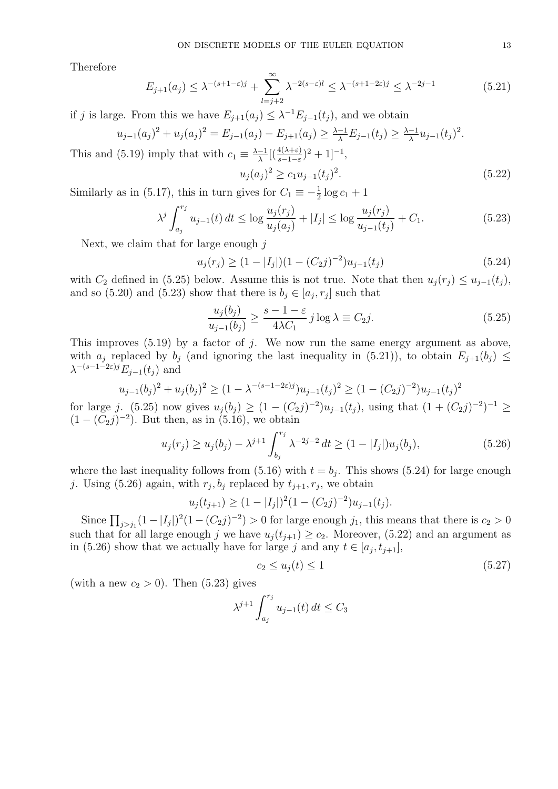Therefore

$$
E_{j+1}(a_j) \le \lambda^{-(s+1-\varepsilon)j} + \sum_{l=j+2}^{\infty} \lambda^{-2(s-\varepsilon)l} \le \lambda^{-(s+1-2\varepsilon)j} \le \lambda^{-2j-1}
$$
(5.21)

if j is large. From this we have  $E_{j+1}(a_j) \leq \lambda^{-1} E_{j-1}(t_j)$ , and we obtain

$$
u_{j-1}(a_j)^2 + u_j(a_j)^2 = E_{j-1}(a_j) - E_{j+1}(a_j) \ge \frac{\lambda - 1}{\lambda} E_{j-1}(t_j) \ge \frac{\lambda - 1}{\lambda} u_{j-1}(t_j)^2.
$$

This and (5.19) imply that with  $c_1 \equiv \frac{\lambda - 1}{\lambda}$  $\frac{-1}{\lambda}[(\frac{4(\lambda+\varepsilon)}{s-1-\varepsilon})^2+1]^{-1},$ 

$$
u_j(a_j)^2 \ge c_1 u_{j-1}(t_j)^2. \tag{5.22}
$$

Similarly as in (5.17), this in turn gives for  $C_1 \equiv -\frac{1}{2} \log c_1 + 1$ 

$$
\lambda^j \int_{a_j}^{r_j} u_{j-1}(t) dt \le \log \frac{u_j(r_j)}{u_j(a_j)} + |I_j| \le \log \frac{u_j(r_j)}{u_{j-1}(t_j)} + C_1.
$$
\n(5.23)

Next, we claim that for large enough  $i$ 

$$
u_j(r_j) \ge (1 - |I_j|)(1 - (C_2 j)^{-2})u_{j-1}(t_j)
$$
\n(5.24)

with  $C_2$  defined in (5.25) below. Assume this is not true. Note that then  $u_j(r_j) \le u_{j-1}(t_j)$ , and so (5.20) and (5.23) show that there is  $b_j \in [a_j, r_j]$  such that

$$
\frac{u_j(b_j)}{u_{j-1}(b_j)} \ge \frac{s-1-\varepsilon}{4\lambda C_1} j \log \lambda \equiv C_2 j.
$$
\n(5.25)

This improves  $(5.19)$  by a factor of j. We now run the same energy argument as above, with  $a_j$  replaced by  $b_j$  (and ignoring the last inequality in (5.21)), to obtain  $E_{j+1}(b_j) \leq$  $\lambda^{-(s-1-2\varepsilon)j} E_{j-1}(t_j)$  and

$$
u_{j-1}(b_j)^2 + u_j(b_j)^2 \ge (1 - \lambda^{-(s-1-2\varepsilon)j})u_{j-1}(t_j)^2 \ge (1 - (C_2j)^{-2})u_{j-1}(t_j)^2
$$

for large j. (5.25) now gives  $u_j(b_j) \geq (1 - (C_2 j)^{-2})u_{j-1}(t_j)$ , using that  $(1 + (C_2 j)^{-2})^{-1} \geq$  $(1 - (C_2 j)^{-2})$ . But then, as in (5.16), we obtain

$$
u_j(r_j) \ge u_j(b_j) - \lambda^{j+1} \int_{b_j}^{r_j} \lambda^{-2j-2} dt \ge (1 - |I_j|) u_j(b_j), \tag{5.26}
$$

where the last inequality follows from  $(5.16)$  with  $t = b_j$ . This shows  $(5.24)$  for large enough j. Using (5.26) again, with  $r_j, b_j$  replaced by  $t_{j+1}, r_j$ , we obtain

$$
u_j(t_{j+1}) \ge (1 - |I_j|)^2 (1 - (C_2 j)^{-2}) u_{j-1}(t_j).
$$

Since  $\prod_{j>i_1}(1-|I_j|)^2(1-(C_2j)^{-2})>0$  for large enough  $j_1$ , this means that there is  $c_2>0$ such that for all large enough j we have  $u_i(t_{i+1}) \ge c_2$ . Moreover, (5.22) and an argument as in (5.26) show that we actually have for large j and any  $t \in [a_j, t_{j+1}]$ ,

$$
c_2 \le u_j(t) \le 1\tag{5.27}
$$

(with a new  $c_2 > 0$ ). Then (5.23) gives

$$
\lambda^{j+1} \int_{a_j}^{r_j} u_{j-1}(t) dt \le C_3
$$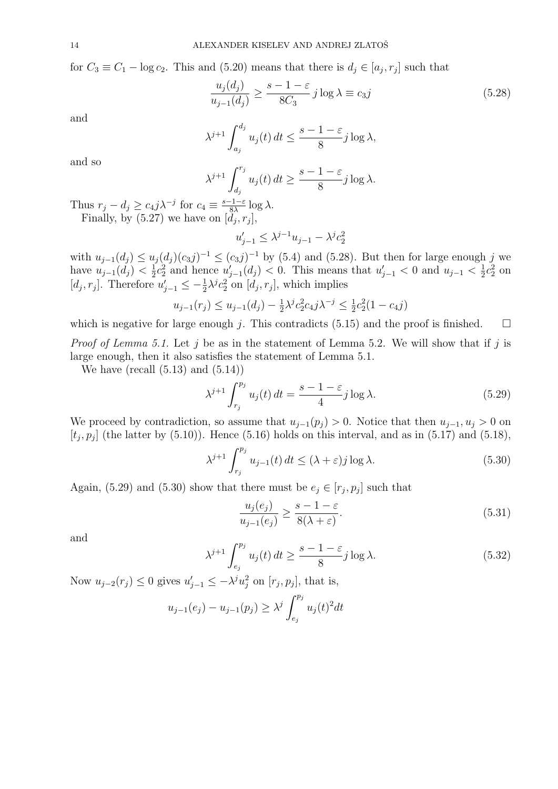for  $C_3 \equiv C_1 - \log c_2$ . This and (5.20) means that there is  $d_j \in [a_j, r_j]$  such that

$$
\frac{u_j(d_j)}{u_{j-1}(d_j)} \ge \frac{s-1-\varepsilon}{8C_3} j \log \lambda \equiv c_3 j \tag{5.28}
$$

and

$$
\lambda^{j+1} \int_{a_j}^{d_j} u_j(t) dt \le \frac{s-1-\varepsilon}{8} j \log \lambda,
$$

and so

$$
\lambda^{j+1} \int_{d_j}^{r_j} u_j(t) dt \ge \frac{s-1-\varepsilon}{8} j \log \lambda.
$$

Thus  $r_j - d_j \geq c_4 j \lambda^{-j}$  for  $c_4 \equiv \frac{s-1-\varepsilon}{8\lambda}$  $rac{-1-\varepsilon}{8\lambda} \log \lambda$ . Finally, by  $(5.27)$  we have on  $[d_j, r_j]$ ,

$$
u_{j-1}'\leq \lambda^{j-1}u_{j-1}-\lambda^jc_2^2
$$

with  $u_{j-1}(d_j) \le u_j(d_j)(c_3j)^{-1} \le (c_3j)^{-1}$  by (5.4) and (5.28). But then for large enough j we have  $u_{j-1}(d_j) < \frac{1}{2}$  $\frac{1}{2}c_2^2$  and hence  $u'_{j-1}(d_j) < 0$ . This means that  $u'_{j-1} < 0$  and  $u_{j-1} < \frac{1}{2}$  $\frac{1}{2}c_2^2$  on [ $d_j, r_j$ ]. Therefore  $u'_{j-1} \leq -\frac{1}{2}\lambda^j c_2^2$  on  $[d_j, r_j]$ , which implies

$$
u_{j-1}(r_j) \le u_{j-1}(d_j) - \frac{1}{2}\lambda^j c_2^2 c_4 j \lambda^{-j} \le \frac{1}{2} c_2^2 (1 - c_4 j)
$$

which is negative for large enough j. This contradicts (5.15) and the proof is finished.  $\square$ 

*Proof of Lemma 5.1.* Let j be as in the statement of Lemma 5.2. We will show that if j is large enough, then it also satisfies the statement of Lemma 5.1.

We have (recall  $(5.13)$  and  $(5.14)$ )

$$
\lambda^{j+1} \int_{r_j}^{p_j} u_j(t) dt = \frac{s-1-\varepsilon}{4} j \log \lambda.
$$
 (5.29)

We proceed by contradiction, so assume that  $u_{j-1}(p_j) > 0$ . Notice that then  $u_{j-1}, u_j > 0$  on  $[t_j, p_j]$  (the latter by (5.10)). Hence (5.16) holds on this interval, and as in (5.17) and (5.18),

$$
\lambda^{j+1} \int_{r_j}^{p_j} u_{j-1}(t) dt \le (\lambda + \varepsilon) j \log \lambda.
$$
 (5.30)

Again, (5.29) and (5.30) show that there must be  $e_j \in [r_j, p_j]$  such that

$$
\frac{u_j(e_j)}{u_{j-1}(e_j)} \ge \frac{s-1-\varepsilon}{8(\lambda+\varepsilon)}.\tag{5.31}
$$

and

$$
\lambda^{j+1} \int_{e_j}^{p_j} u_j(t) dt \ge \frac{s - 1 - \varepsilon}{8} j \log \lambda.
$$
 (5.32)

Now  $u_{j-2}(r_j) \leq 0$  gives  $u'_{j-1} \leq -\lambda^j u_j^2$  on  $[r_j, p_j]$ , that is,

$$
u_{j-1}(e_j) - u_{j-1}(p_j) \ge \lambda^j \int_{e_j}^{p_j} u_j(t)^2 dt
$$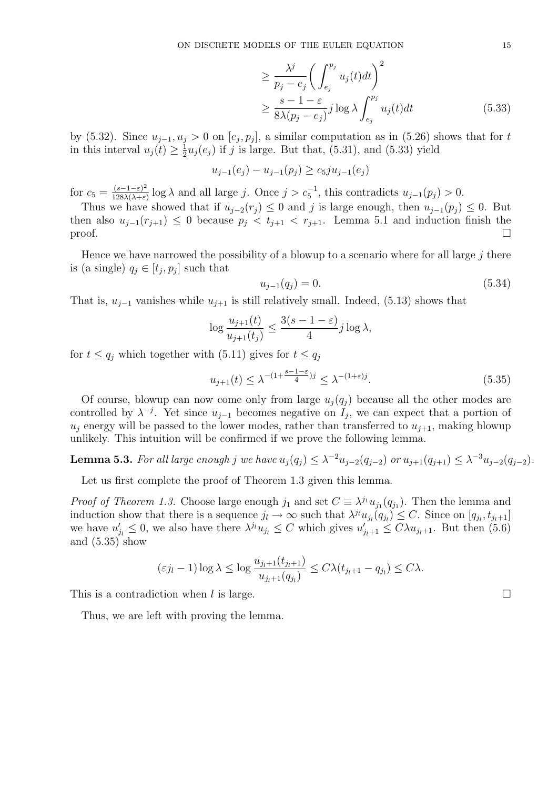$$
\geq \frac{\lambda^j}{p_j - e_j} \bigg( \int_{e_j}^{p_j} u_j(t) dt \bigg)^2
$$
  
\n
$$
\geq \frac{s - 1 - \varepsilon}{8\lambda (p_j - e_j)} j \log \lambda \int_{e_j}^{p_j} u_j(t) dt
$$
 (5.33)

by (5.32). Since  $u_{j-1}, u_j > 0$  on  $[e_j, p_j]$ , a similar computation as in (5.26) shows that for t in this interval  $u_j(t) \geq \frac{1}{2}$  $\frac{1}{2}u_j(e_j)$  if j is large. But that, (5.31), and (5.33) yield

$$
u_{j-1}(e_j) - u_{j-1}(p_j) \ge c_5 j u_{j-1}(e_j)
$$

for  $c_5 = \frac{(s-1-\varepsilon)^2}{128\lambda(\lambda+\varepsilon)}$  $\frac{(s-1-\varepsilon)^2}{128\lambda(\lambda+\varepsilon)}\log\lambda$  and all large j. Once  $j>c_5^{-1}$ , this contradicts  $u_{j-1}(p_j)>0$ .

Thus we have showed that if  $u_{j-2}(r_j) \leq 0$  and j is large enough, then  $u_{j-1}(p_j) \leq 0$ . But then also  $u_{j-1}(r_{j+1}) \leq 0$  because  $p_j < t_{j+1} < r_{j+1}$ . Lemma 5.1 and induction finish the proof.  $\Box$ 

Hence we have narrowed the possibility of a blowup to a scenario where for all large  $j$  there is (a single)  $q_j \in [t_j, p_j]$  such that

$$
u_{j-1}(q_j) = 0.\t\t(5.34)
$$

That is,  $u_{j-1}$  vanishes while  $u_{j+1}$  is still relatively small. Indeed, (5.13) shows that

$$
\log \frac{u_{j+1}(t)}{u_{j+1}(t_j)} \le \frac{3(s-1-\varepsilon)}{4}j \log \lambda,
$$

for  $t \leq q_j$  which together with (5.11) gives for  $t \leq q_j$ 

$$
u_{j+1}(t) \le \lambda^{-(1+\frac{s-1-\varepsilon}{4})j} \le \lambda^{-(1+\varepsilon)j}.\tag{5.35}
$$

Of course, blowup can now come only from large  $u_j(q_j)$  because all the other modes are controlled by  $\lambda^{-j}$ . Yet since  $u_{j-1}$  becomes negative on  $I_j$ , we can expect that a portion of  $u_i$  energy will be passed to the lower modes, rather than transferred to  $u_{i+1}$ , making blowup unlikely. This intuition will be confirmed if we prove the following lemma.

**Lemma 5.3.** For all large enough j we have  $u_j(q_j) \leq \lambda^{-2} u_{j-2}(q_{j-2})$  or  $u_{j+1}(q_{j+1}) \leq \lambda^{-3} u_{j-2}(q_{j-2})$ .

Let us first complete the proof of Theorem 1.3 given this lemma.

*Proof of Theorem 1.3.* Choose large enough  $j_1$  and set  $C \equiv \lambda^{j_1} u_{j_1}(q_{j_1})$ . Then the lemma and induction show that there is a sequence  $j_l \to \infty$  such that  $\lambda^{j_l} u_{j_l}(q_{j_l}) \leq C$ . Since on  $[q_{j_l}, t_{j_l+1}]$ we have  $u'_{j_l} \leq 0$ , we also have there  $\lambda^{j_l} u_{j_l} \leq C$  which gives  $u'_{j_l+1} \leq C \lambda u_{j_l+1}$ . But then (5.6) and (5.35) show

$$
(\varepsilon j_l - 1) \log \lambda \le \log \frac{u_{j_l+1}(t_{j_l+1})}{u_{j_l+1}(q_{j_l})} \le C\lambda (t_{j_l+1} - q_{j_l}) \le C\lambda.
$$

This is a contradiction when l is large.  $\Box$ 

Thus, we are left with proving the lemma.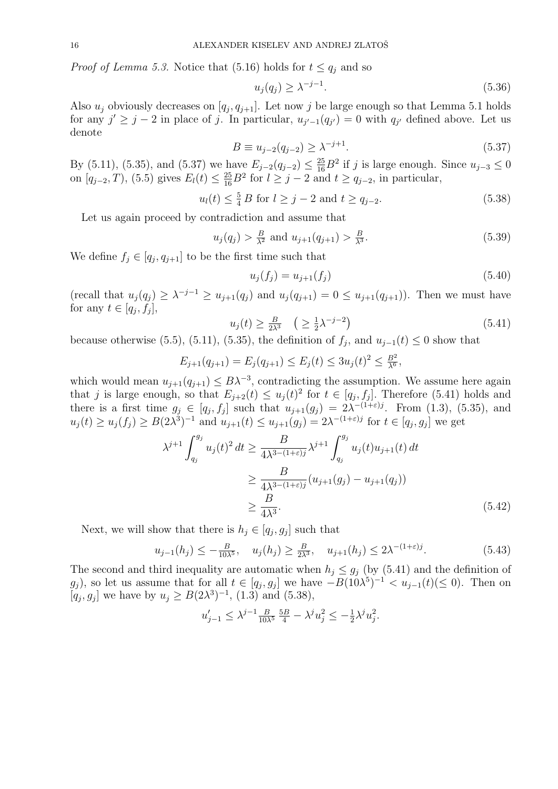*Proof of Lemma 5.3.* Notice that (5.16) holds for  $t \leq q_i$  and so

$$
u_j(q_j) \ge \lambda^{-j-1}.\tag{5.36}
$$

Also  $u_j$  obviously decreases on  $[q_j, q_{j+1}]$ . Let now j be large enough so that Lemma 5.1 holds for any  $j' \geq j-2$  in place of j. In particular,  $u_{j'-1}(q_{j'})=0$  with  $q_{j'}$  defined above. Let us denote

$$
B \equiv u_{j-2}(q_{j-2}) \ge \lambda^{-j+1}.
$$
\n(5.37)

By (5.11), (5.35), and (5.37) we have  $E_{j-2}(q_{j-2}) \leq \frac{25}{16}B^2$  if j is large enough. Since  $u_{j-3} \leq 0$ on  $[q_{j-2}, T)$ , (5.5) gives  $E_l(t) \leq \frac{25}{16} B^2$  for  $l \geq j-2$  and  $t \geq q_{j-2}$ , in particular,

$$
u_l(t) \leq \frac{5}{4} B
$$
 for  $l \geq j - 2$  and  $t \geq q_{j-2}$ . (5.38)

Let us again proceed by contradiction and assume that

$$
u_j(q_j) > \frac{B}{\lambda^2}
$$
 and  $u_{j+1}(q_{j+1}) > \frac{B}{\lambda^3}$ . (5.39)

We define  $f_j \in [q_j, q_{j+1}]$  to be the first time such that

$$
u_j(f_j) = u_{j+1}(f_j)
$$
\n(5.40)

(recall that  $u_j(q_j) \geq \lambda^{-j-1} \geq u_{j+1}(q_j)$  and  $u_j(q_{j+1}) = 0 \leq u_{j+1}(q_{j+1})$ ). Then we must have for any  $t \in [q_j, f_j],$ 

$$
u_j(t) \ge \frac{B}{2\lambda^3} \quad \left(\ge \frac{1}{2}\lambda^{-j-2}\right) \tag{5.41}
$$

because otherwise (5.5), (5.11), (5.35), the definition of  $f_j$ , and  $u_{j-1}(t) \leq 0$  show that

$$
E_{j+1}(q_{j+1}) = E_j(q_{j+1}) \le E_j(t) \le 3u_j(t)^2 \le \frac{B^2}{\lambda^6},
$$

which would mean  $u_{j+1}(q_{j+1}) \leq B\lambda^{-3}$ , contradicting the assumption. We assume here again that j is large enough, so that  $E_{j+2}(t) \le u_j(t)^2$  for  $t \in [q_j, f_j]$ . Therefore (5.41) holds and there is a first time  $g_j \in [q_j, f_j]$  such that  $u_{j+1}(g_j) = 2\lambda^{-(1+\varepsilon)j}$ . From (1.3), (5.35), and  $u_j(t) \ge u_j(f_j) \ge B(2\lambda^3)^{-1}$  and  $u_{j+1}(t) \le u_{j+1}(g_j) = 2\lambda^{-(1+\varepsilon)j}$  for  $t \in [q_j, g_j]$  we get

$$
\lambda^{j+1} \int_{q_j}^{g_j} u_j(t)^2 dt \ge \frac{B}{4\lambda^{3-(1+\varepsilon)j}} \lambda^{j+1} \int_{q_j}^{g_j} u_j(t) u_{j+1}(t) dt
$$
  
\n
$$
\ge \frac{B}{4\lambda^{3-(1+\varepsilon)j}} (u_{j+1}(g_j) - u_{j+1}(q_j))
$$
  
\n
$$
\ge \frac{B}{4\lambda^3}.
$$
 (5.42)

Next, we will show that there is  $h_j \in [q_j, g_j]$  such that

$$
u_{j-1}(h_j) \le -\frac{B}{10\lambda^5}, \quad u_j(h_j) \ge \frac{B}{2\lambda^3}, \quad u_{j+1}(h_j) \le 2\lambda^{-(1+\varepsilon)j}.\tag{5.43}
$$

The second and third inequality are automatic when  $h_i \leq g_i$  (by (5.41) and the definition of  $g_j$ , so let us assume that for all  $t \in [q_j, g_j]$  we have  $-B(10\lambda^5)^{-1} < u_{j-1}(t) \leq 0$ . Then on  $[q_j, g_j]$  we have by  $u_j \ge B(2\lambda^3)^{-1}$ , (1.3) and (5.38),

$$
u'_{j-1} \leq \lambda^{j-1} \frac{B}{10\lambda^5} \frac{5B}{4} - \lambda^j u_j^2 \leq -\frac{1}{2} \lambda^j u_j^2.
$$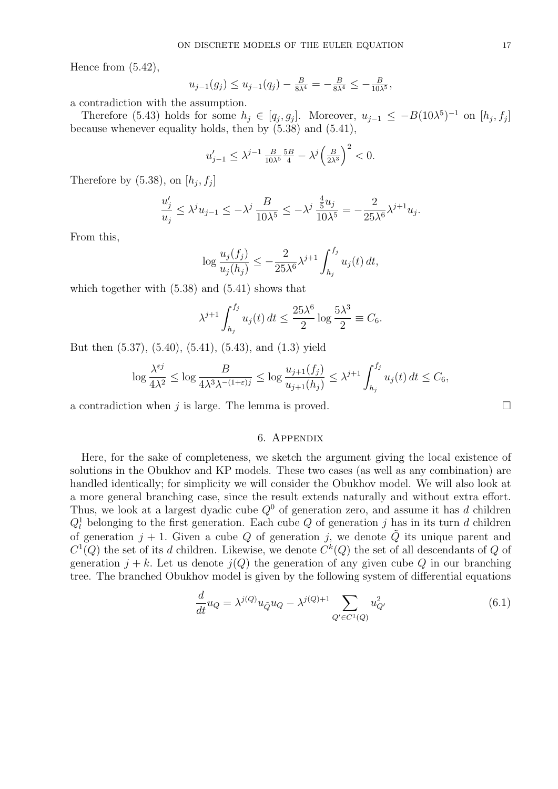Hence from (5.42),

$$
u_{j-1}(g_j) \le u_{j-1}(q_j) - \frac{B}{8\lambda^4} = -\frac{B}{8\lambda^4} \le -\frac{B}{10\lambda^5},
$$

a contradiction with the assumption.

Therefore (5.43) holds for some  $h_j \in [q_j, g_j]$ . Moreover,  $u_{j-1} \leq -B(10\lambda^{5})^{-1}$  on  $[h_j, f_j]$ because whenever equality holds, then by (5.38) and (5.41),

$$
u'_{j-1} \le \lambda^{j-1} \frac{B}{10\lambda^5} \frac{5B}{4} - \lambda^j \left(\frac{B}{2\lambda^3}\right)^2 < 0.
$$

Therefore by  $(5.38)$ , on  $[h_j, f_j]$ 

$$
\frac{u_j'}{u_j}\leq \lambda^j u_{j-1}\leq -\lambda^j\, \frac{B}{10\lambda^5}\leq -\lambda^j\, \frac{\frac{4}{5}u_j}{10\lambda^5}= -\frac{2}{25\lambda^6}\lambda^{j+1}u_j.
$$

From this,

$$
\log \frac{u_j(f_j)}{u_j(h_j)} \le -\frac{2}{25\lambda^6} \lambda^{j+1} \int_{h_j}^{f_j} u_j(t) dt,
$$

which together with  $(5.38)$  and  $(5.41)$  shows that

$$
\lambda^{j+1} \int_{h_j}^{f_j} u_j(t) dt \le \frac{25\lambda^6}{2} \log \frac{5\lambda^3}{2} \equiv C_6.
$$

But then (5.37), (5.40), (5.41), (5.43), and (1.3) yield

$$
\log \frac{\lambda^{\varepsilon j}}{4\lambda^2} \le \log \frac{B}{4\lambda^3 \lambda^{-(1+\varepsilon)j}} \le \log \frac{u_{j+1}(f_j)}{u_{j+1}(h_j)} \le \lambda^{j+1} \int_{h_j}^{f_j} u_j(t) dt \le C_6,
$$

a contradiction when j is large. The lemma is proved.  $\square$ 

# 6. Appendix

Here, for the sake of completeness, we sketch the argument giving the local existence of solutions in the Obukhov and KP models. These two cases (as well as any combination) are handled identically; for simplicity we will consider the Obukhov model. We will also look at a more general branching case, since the result extends naturally and without extra effort. Thus, we look at a largest dyadic cube  $Q<sup>0</sup>$  of generation zero, and assume it has d children  $Q_l^1$  belonging to the first generation. Each cube Q of generation j has in its turn d children of generation  $j + 1$ . Given a cube Q of generation j, we denote  $\tilde{Q}$  its unique parent and  $C^1(Q)$  the set of its d children. Likewise, we denote  $C^k(Q)$  the set of all descendants of Q of generation  $j + k$ . Let us denote  $j(Q)$  the generation of any given cube Q in our branching tree. The branched Obukhov model is given by the following system of differential equations

$$
\frac{d}{dt}u_Q = \lambda^{j(Q)}u_{\tilde{Q}}u_Q - \lambda^{j(Q)+1} \sum_{Q' \in C^1(Q)} u_{Q'}^2
$$
\n(6.1)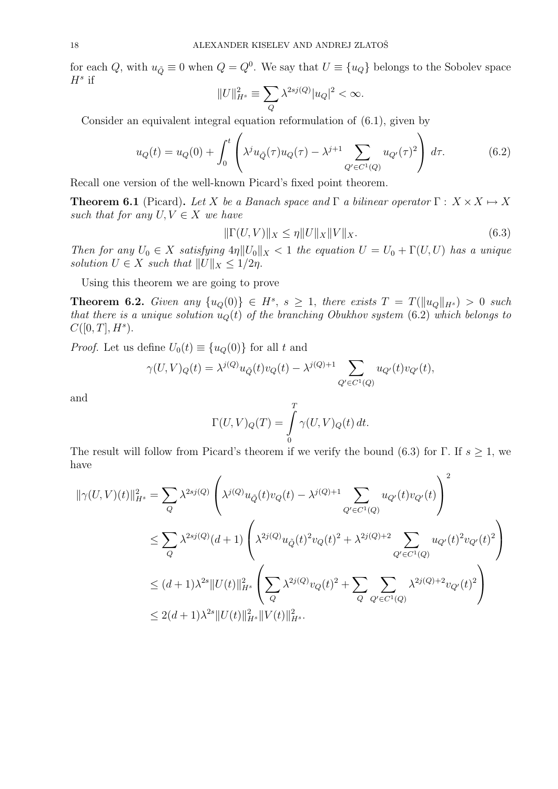for each Q, with  $u_{\tilde{Q}} \equiv 0$  when  $Q = Q^0$ . We say that  $U \equiv \{u_Q\}$  belongs to the Sobolev space  $H^s$  if

$$
||U||_{H^s}^2 \equiv \sum_{Q} \lambda^{2sj(Q)} |u_Q|^2 < \infty.
$$

Consider an equivalent integral equation reformulation of (6.1), given by

$$
u_Q(t) = u_Q(0) + \int_0^t \left( \lambda^j u_{\tilde{Q}}(\tau) u_Q(\tau) - \lambda^{j+1} \sum_{Q' \in C^1(Q)} u_{Q'}(\tau)^2 \right) d\tau.
$$
 (6.2)

Recall one version of the well-known Picard's fixed point theorem.

**Theorem 6.1** (Picard). Let X be a Banach space and  $\Gamma$  a bilinear operator  $\Gamma: X \times X \mapsto X$ such that for any  $U, V \in X$  we have

$$
\|\Gamma(U,V)\|_{X} \le \eta \|U\|_{X}\|V\|_{X}.
$$
\n(6.3)

Then for any  $U_0 \in X$  satisfying  $4\eta \|U_0\|_X < 1$  the equation  $U = U_0 + \Gamma(U, U)$  has a unique solution  $U \in X$  such that  $||U||_X \leq 1/2\eta$ .

Using this theorem we are going to prove

**Theorem 6.2.** Given any  $\{u_Q(0)\}\in H^s$ ,  $s\geq 1$ , there exists  $T = T(||u_Q||_{H^s}) > 0$  such that there is a unique solution  $u<sub>Q</sub>(t)$  of the branching Obukhov system (6.2) which belongs to  $C([0, T], H^s)$ .

*Proof.* Let us define  $U_0(t) \equiv \{u_Q(0)\}\$ for all t and

$$
\gamma(U,V)_{Q}(t) = \lambda^{j(Q)} u_{\tilde{Q}}(t) v_{Q}(t) - \lambda^{j(Q)+1} \sum_{Q' \in C^{1}(Q)} u_{Q'}(t) v_{Q'}(t),
$$

and

$$
\Gamma(U,V)_Q(T) = \int\limits_0^T \gamma(U,V)_Q(t) dt.
$$

The result will follow from Picard's theorem if we verify the bound (6.3) for Γ. If  $s \geq 1$ , we have  $\Omega$ 

$$
\begin{split} \|\gamma(U,V)(t)\|_{H^s}^2 &= \sum_{Q} \lambda^{2sj(Q)} \left( \lambda^{j(Q)} u_{\tilde{Q}}(t) v_Q(t) - \lambda^{j(Q)+1} \sum_{Q' \in C^1(Q)} u_{Q'}(t) v_{Q'}(t) \right)^2 \\ &\le \sum_{Q} \lambda^{2sj(Q)} (d+1) \left( \lambda^{2j(Q)} u_{\tilde{Q}}(t)^2 v_Q(t)^2 + \lambda^{2j(Q)+2} \sum_{Q' \in C^1(Q)} u_{Q'}(t)^2 v_{Q'}(t)^2 \right) \\ &\le (d+1) \lambda^{2s} \|U(t)\|_{H^s}^2 \left( \sum_{Q} \lambda^{2j(Q)} v_Q(t)^2 + \sum_{Q} \sum_{Q' \in C^1(Q)} \lambda^{2j(Q)+2} v_{Q'}(t)^2 \right) \\ &\le 2(d+1) \lambda^{2s} \|U(t)\|_{H^s}^2 \|V(t)\|_{H^s}^2. \end{split}
$$